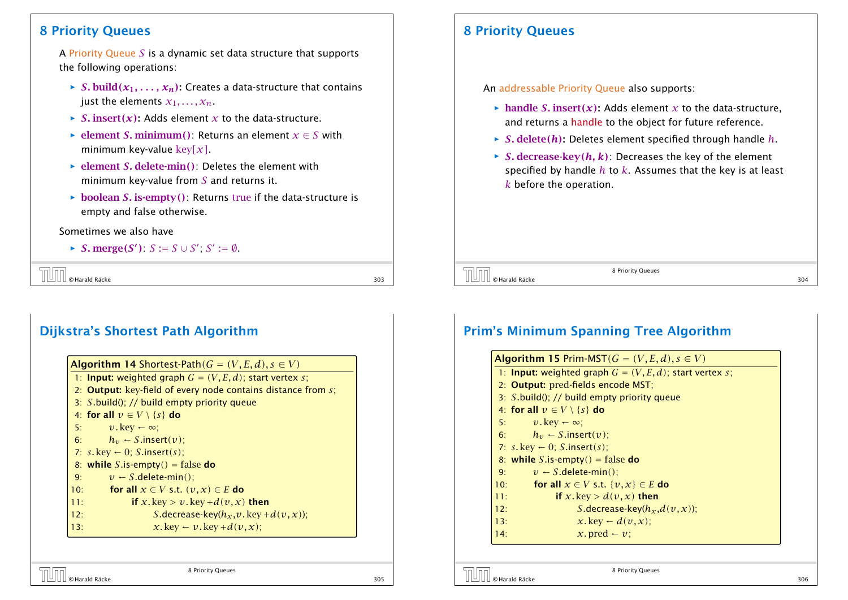#### 8 Priority Queues

A Priority Queue *S* is a dynamic set data structure that supports the following operations:

- $\rightarrow$  *S.* build $(x_1, \ldots, x_n)$ : Creates a data-structure that contains just the elements  $x_1, \ldots, x_n$ .
- $\triangleright$  *S.* insert(*x*): Adds element *x* to the data-structure.
- *►* element *S*. minimum(): Returns an element  $x \in S$  with minimum key-value key*[x]*.
- ▶ element *S*. delete-min(): Deletes the element with minimum key-value from *S* and returns it.
- $\rightarrow$  boolean *S*. is-empty(): Returns true if the data-structure is empty and false otherwise.

Sometimes we also have

*► S*. merge(*S*<sup> $\prime$ </sup>): *S* := *S* ∪ *S*<sup> $\prime$ </sup>, *S*<sup> $\prime$ </sup> :=  $\emptyset$ .

© Harald Räcke 303

## Dijkstra's Shortest Path Algorithm

| <b>Algorithm 14 Shortest-Path</b> $(G = (V, E, d), s \in V)$           |
|------------------------------------------------------------------------|
| 1: <b>Input:</b> weighted graph $G = (V, E, d)$ ; start vertex s;      |
| 2: <b>Output:</b> key-field of every node contains distance from $s$ ; |
| 3: $S$ build(); // build empty priority queue                          |
| 4: for all $v \in V \setminus \{s\}$ do                                |
| $v.\text{key} \leftarrow \infty$ ;<br>5:                               |
| 6: $h_v \leftarrow S.insert(v);$                                       |
| 7: $s$ . key $\leftarrow$ 0; S.insert(s);                              |
| 8: while S.is-empty() = false do                                       |
| $v \leftarrow S$ .delete-min();<br>9:                                  |
| for all $x \in V$ s.t. $(v, x) \in E$ do<br>10:                        |
| if x.key > v.key + $d(v, x)$ then<br>11:                               |
| <i>S</i> .decrease-key( $h_x, v$ .key + $d(v, x)$ );<br>12:            |
| $x$ . key $\leftarrow v$ . key + $d(v, x)$ ;<br>13:                    |

## 8 Priority Queues

An addressable Priority Queue also supports:

- **handle** *S*. insert(x): Adds element x to the data-structure, and returns a handle to the object for future reference.
- $\triangleright$  *S*. delete(*h*): Deletes element specified through handle *h*.
- $\rightarrow$  *S.* decrease-key $(h, k)$ : Decreases the key of the element specified by handle *h* to *k*. Assumes that the key is at least *k* before the operation.

 $\overline{S}$   $\overline{S}$   $\overline{S}$   $\overline{S}$   $\overline{S}$   $\overline{S}$   $\overline{S}$   $\overline{S}$   $\overline{S}$   $\overline{S}$   $\overline{S}$   $\overline{S}$   $\overline{S}$   $\overline{S}$   $\overline{S}$   $\overline{S}$   $\overline{S}$   $\overline{S}$   $\overline{S}$   $\overline{S}$   $\overline{S}$   $\overline{S}$   $\overline{S}$   $\overline{S}$   $\overline{$ 

8 Priority Queues

#### Prim's Minimum Spanning Tree Algorithm

| <b>Algorithm 15 Prim-MST</b> $(G = (V, E, d), s \in V)$           |
|-------------------------------------------------------------------|
| 1: <b>Input:</b> weighted graph $G = (V, E, d)$ ; start vertex s; |
| 2: Output: pred-fields encode MST;                                |
| 3: $S$ build(); // build empty priority queue                     |
| 4: for all $v \in V \setminus \{s\}$ do                           |
| $v.\text{key} \leftarrow \infty$ ;<br>5:                          |
| 6: $h_v \leftarrow S.\text{insert}(v)$ ;                          |
| 7: $s.$ key $\leftarrow$ 0; S insert(s);                          |
| 8: while S.is-empty() = false do                                  |
| $v \leftarrow S$ .delete-min():<br>9:                             |
| for all $x \in V$ s.t. $\{v, x\} \in E$ do<br>10:                 |
| if x. key > $d(v, x)$ then<br>11:                                 |
| <i>S</i> .decrease-key( $h_x$ , $d(v, x)$ );<br>12:               |
| $x$ . key $\leftarrow d(v, x)$ ;<br>13:                           |
| x. pred $\leftarrow v$ :<br>14:                                   |

8 Priority Queues

 $\overline{\text{S}}$   $\overline{\text{S}}$   $\overline{\text{S}}$   $\overline{\text{S}}$   $\overline{\text{S}}$   $\overline{\text{S}}$   $\overline{\text{S}}$   $\overline{\text{S}}$   $\overline{\text{S}}$   $\overline{\text{S}}$   $\overline{\text{S}}$   $\overline{\text{S}}$   $\overline{\text{S}}$   $\overline{\text{S}}$   $\overline{\text{S}}$   $\overline{\text{S}}$   $\overline{\text{S}}$   $\overline{\text{S}}$   $\overline{\text{S}}$   $\overline{\text{S}}$ 

 $\overline{\text{S}^2}$   $\begin{bmatrix} \begin{bmatrix} \begin{bmatrix} \begin{bmatrix} \end{bmatrix} & \end{bmatrix} & \begin{bmatrix} \end{bmatrix} & \end{bmatrix} \\ \begin{bmatrix} \end{bmatrix} & \begin{bmatrix} \end{bmatrix} & \begin{bmatrix} \end{bmatrix} & \begin{bmatrix} \end{bmatrix} & \begin{bmatrix} \end{bmatrix} & \begin{bmatrix} \end{bmatrix} & \begin{bmatrix} \end{bmatrix} & \begin{bmatrix} \end{bmatrix} & \begin{bmatrix} \end{bmatrix} & \begin{bmatrix} \end{bmatrix} & \begin{bmatrix} \end{bmatrix} & \begin{bmatrix$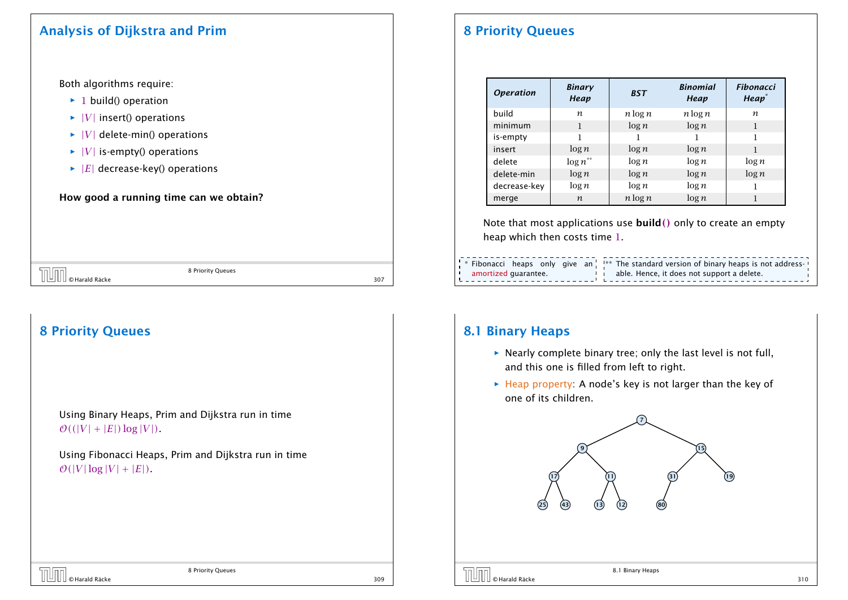#### Analysis of Dijkstra and Prim

Both algorithms require:

- ▶ 1 build() operation
- $\blacktriangleright$  |*V*| insert() operations
- $\blacktriangleright$   $|V|$  delete-min() operations
- $\blacktriangleright$   $|V|$  is-empty() operations
- $\blacktriangleright$  |*E*| decrease-key() operations

#### How good a running time can we obtain?

| $\sqrt{\left[\begin{matrix} 1 & 0 \\ 0 & \text{Hardl} \end{matrix}\right]}$ $\odot$ Harald Räcke | 8 Priority Queues |     |
|--------------------------------------------------------------------------------------------------|-------------------|-----|
|                                                                                                  |                   | 307 |

# 8 Priority Queues

Using Binary Heaps, Prim and Dijkstra run in time  $\mathcal{O}((|V| + |E|)\log|V|)$ .

Using Fibonacci Heaps, Prim and Dijkstra run in time  $\mathcal{O}(|V|\log|V| + |E|)$ .

8 Priority Queues  $\sqrt{309}$   $\sqrt{309}$   $\sqrt{309}$   $\sqrt{309}$   $\sqrt{309}$   $\sqrt{309}$   $\sqrt{309}$   $\sqrt{309}$   $\sqrt{309}$   $\sqrt{309}$   $\sqrt{309}$   $\sqrt{309}$   $\sqrt{309}$   $\sqrt{309}$   $\sqrt{309}$   $\sqrt{309}$   $\sqrt{309}$   $\sqrt{309}$   $\sqrt{309}$   $\sqrt{309}$   $\sqrt{309}$   $\sqrt{309}$ 

## 8 Priority Queues

| <i><b>Operation</b></i> | <b>Binary</b><br>Heap | <b>BST</b> | <b>Binomial</b><br>Heap | <b>Fibonacci</b><br>Heap <sup>*</sup> |
|-------------------------|-----------------------|------------|-------------------------|---------------------------------------|
| build                   | n                     | $n \log n$ | $n \log n$              | n                                     |
| minimum                 | 1                     | $\log n$   | $\log n$                | 1                                     |
| is-empty                | 1                     |            |                         | 1                                     |
| insert                  | $\log n$              | $\log n$   | $\log n$                | 1                                     |
| delete                  | $\log n^{**}$         | $\log n$   | $\log n$                | $\log n$                              |
| delete-min              | $\log n$              | $\log n$   | $\log n$                | $\log n$                              |
| decrease-key            | $\log n$              | $\log n$   | $\log n$                |                                       |
| merge                   | $\boldsymbol{n}$      | $n \log n$ | $\log n$                |                                       |

Note that most applications use build*()* only to create an empty heap which then costs time 1.

|                                                                                         | -----------------------------------<br>$\frac{1}{3}$ * Fibonacci heaps only give an $\frac{1}{3}$ * The standard version of binary heaps is not address- |
|-----------------------------------------------------------------------------------------|----------------------------------------------------------------------------------------------------------------------------------------------------------|
| amortized quarantee.<br>$\mathbf{I}$<br>$\overline{1}$ , the contract of $\overline{1}$ | able. Hence, it does not support a delete.                                                                                                               |

#### 8.1 Binary Heaps

- $\triangleright$  Nearly complete binary tree; only the last level is not full, and this one is filled from left to right.
- **►** Heap property: A node's key is not larger than the key of one of its children.

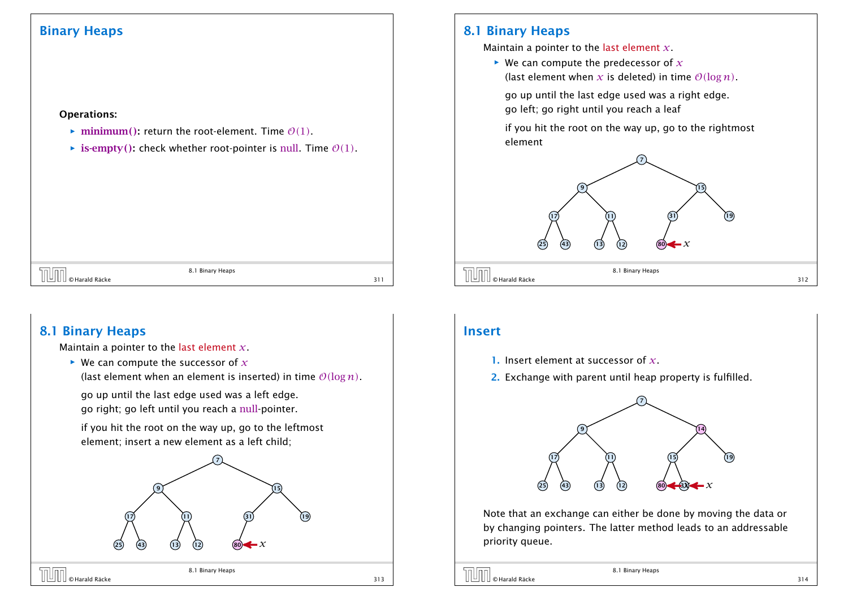#### Binary Heaps

#### Operations:

- $\triangleright$  minimum(): return the root-element. Time  $\mathcal{O}(1)$ .
- $\triangleright$  **is-empty()**: check whether root-pointer is null. Time  $\mathcal{O}(1)$ .

# 8.1 Binary Heaps  $\begin{array}{|c|c|}\n\hline\n\text{All} & \text{of } \text{Harald Räcke}\n\hline\n\end{array}$

#### 8.1 Binary Heaps

Maintain a pointer to the last element *x*.

 $\blacktriangleright$  We can compute the successor of  $x$ 

(last element when an element is inserted) in time  $O(\log n)$ .

go up until the last edge used was a left edge. go right; go left until you reach a null-pointer.

if you hit the root on the way up, go to the leftmost element; insert a new element as a left child;



#### 8.1 Binary Heaps

Maintain a pointer to the last element *x*.

 $\triangleright$  We can compute the predecessor of  $\chi$ (last element when x is deleted) in time  $\mathcal{O}(\log n)$ .

go up until the last edge used was a right edge. go left; go right until you reach a leaf

if you hit the root on the way up, go to the rightmost element



#### Insert

- 1. Insert element at successor of *x*.
- 2. Exchange with parent until heap property is fulfilled.



Note that an exchange can either be done by moving the data or by changing pointers. The latter method leads to an addressable priority queue.

© Harald Räcke 314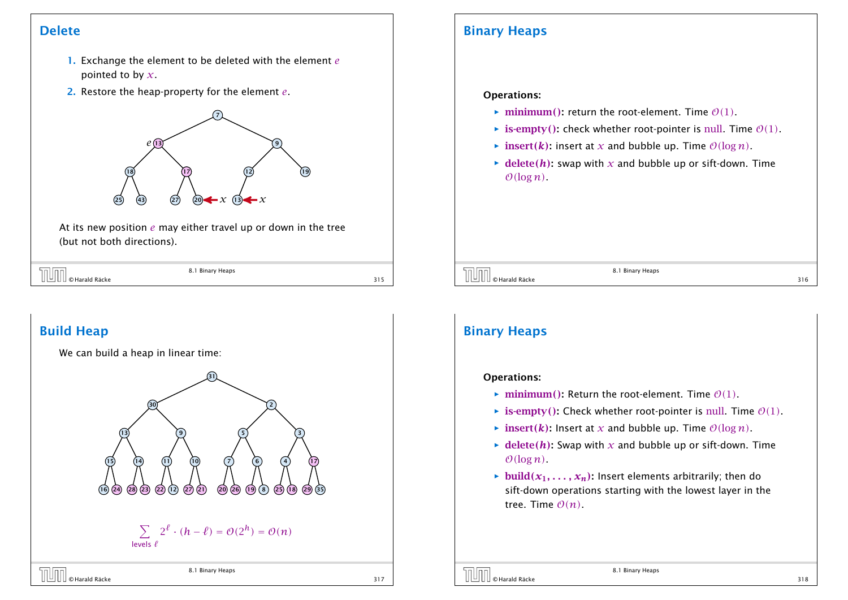#### Delete

- 1. Exchange the element to be deleted with the element *e* pointed to by *x*.
- 2. Restore the heap-property for the element *e*.



At its new position *e* may either travel up or down in the tree (but not both directions).

| --              | 8.1 Binary<br>Heaps |  |
|-----------------|---------------------|--|
| `Räcke<br>arald |                     |  |

## Build Heap



#### Binary Heaps

#### Operations:

- $\triangleright$  minimum(): return the root-element. Time  $\mathcal{O}(1)$ .
- $\triangleright$  **is-empty**(): check whether root-pointer is null. Time  $\mathcal{O}(1)$ .
- $\triangleright$  insert*(k)*: insert at *x* and bubble up. Time  $\mathcal{O}(\log n)$ .
- $\blacktriangleright$  delete(*h*): swap with *x* and bubble up or sift-down. Time  $O(log n)$ .

 $\overline{0}$   $\overline{0}$   $\overline{0}$   $\overline{0}$   $\overline{0}$   $\overline{0}$   $\overline{0}$   $\overline{0}$   $\overline{0}$   $\overline{0}$   $\overline{0}$   $\overline{0}$   $\overline{0}$   $\overline{0}$   $\overline{0}$   $\overline{0}$   $\overline{0}$   $\overline{0}$   $\overline{0}$   $\overline{0}$   $\overline{0}$   $\overline{0}$   $\overline{0}$   $\overline{0}$   $\overline{$ 

8.1 Binary Heaps

## Binary Heaps

#### Operations:

- $\triangleright$  minimum(): Return the root-element. Time  $\mathcal{O}(1)$ .
- $\triangleright$  **is-empty():** Check whether root-pointer is null. Time  $\mathcal{O}(1)$ .
- $\triangleright$  insert*(k)*: Insert at *x* and bubble up. Time  $\mathcal{O}(\log n)$ .
- $\blacktriangleright$  delete(*h*): Swap with *x* and bubble up or sift-down. Time  $O(\log n)$ .
- $\blacktriangleright$  build $(x_1, \ldots, x_n)$ : Insert elements arbitrarily; then do sift-down operations starting with the lowest layer in the tree. Time  $O(n)$ .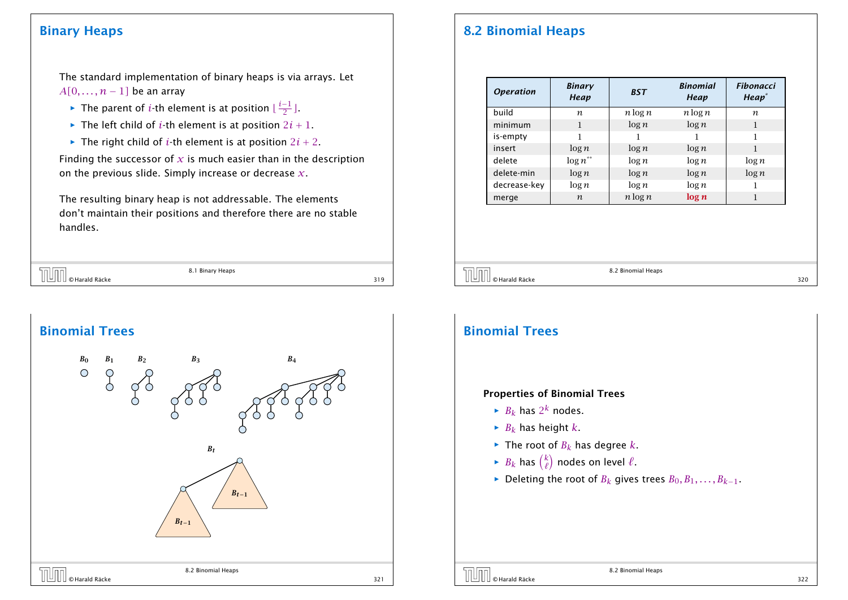#### Binary Heaps

The standard implementation of binary heaps is via arrays. Let *A*[0*, . . . , n* − 1*]* be an array

- ► The parent of *i*-th element is at position  $\lfloor \frac{i-1}{2} \rfloor$ .
- $\blacktriangleright$  The left child of *i*-th element is at position  $2i + 1$ .
- $\blacktriangleright$  The right child of *i*-th element is at position  $2i + 2$ .

Finding the successor of  $x$  is much easier than in the description on the previous slide. Simply increase or decrease *x*.

The resulting binary heap is not addressable. The elements don't maintain their positions and therefore there are no stable handles.

|                           | 8.1 Binary Heaps |     |
|---------------------------|------------------|-----|
| ∣∐ ∣© Harald Räcke<br>∣ – |                  | 319 |
|                           |                  |     |
|                           |                  |     |



## 8.2 Binomial Heaps

| <b>Operation</b> | <b>Binary</b><br>Heap | <b>BST</b> | <b>Binomial</b><br>Heap | <b>Fibonacci</b><br>Heap <sup>*</sup> |
|------------------|-----------------------|------------|-------------------------|---------------------------------------|
| build            | n                     | $n \log n$ | $n \log n$              | n                                     |
| minimum          | 1                     | $\log n$   | $\log n$                |                                       |
| is-empty         | 1                     |            |                         |                                       |
| insert           | $\log n$              | $\log n$   | $\log n$                |                                       |
| delete           | $\log n^{**}$         | $\log n$   | $\log n$                | $\log n$                              |
| delete-min       | $\log n$              | $\log n$   | $\log n$                | $\log n$                              |
| decrease-key     | $\log n$              | $\log n$   | $\log n$                |                                       |
| merge            | $\boldsymbol{n}$      | $n \log n$ | log n                   |                                       |

EN UNIVERSITY OF REAL RATE OF A SALE SERVICE SERVICE SERVICE SERVICE SERVICE SERVICE SERVICE SERVICE SERVICE S<br>
320

8.2 Binomial Heaps

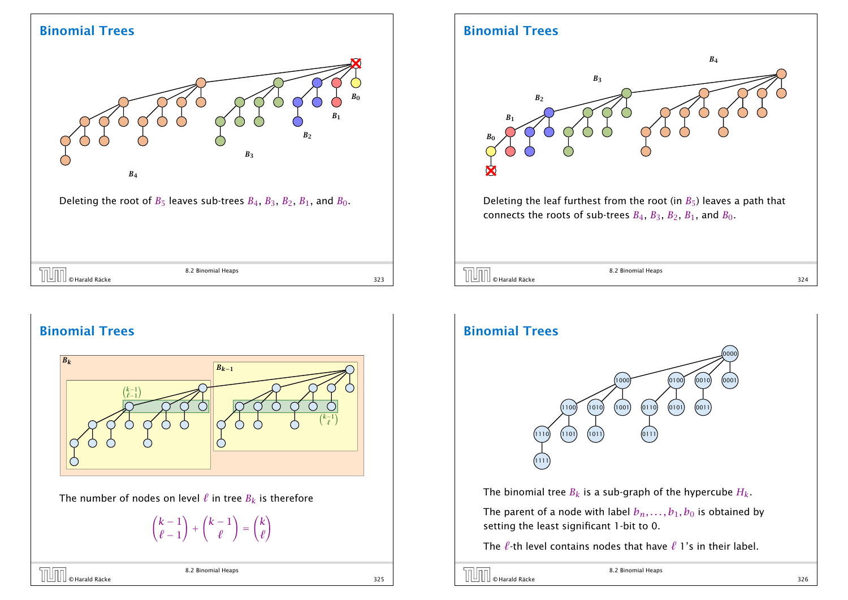#### Binomial Trees



|      | <sup>2</sup> Binomia.<br>Heaps |            |  |
|------|--------------------------------|------------|--|
| кске |                                | ---<br>دےد |  |

## Binomial Trees



The number of nodes on level  $\ell$  in tree  $B_k$  is therefore

 $(k - 1)$  $\ell - 1$ ! +  $(k - 1)$ *`* ! = *k `* !

| $\begin{array}{ c c }\hline \text{}} \end{array}$ $\begin{array}{ c c }\hline \text{}} \end{array}$ o Harald Räcke | 8.2 Binomial Heaps |     |
|--------------------------------------------------------------------------------------------------------------------|--------------------|-----|
|                                                                                                                    |                    | 325 |

#### Binomial Trees



© Harald Räcke 324

8.2 Binomial Heaps

#### Binomial Trees



The binomial tree  $B_k$  is a sub-graph of the hypercube  $H_k$ .

The parent of a node with label  $b_n, \ldots, b_1, b_0$  is obtained by setting the least significant 1-bit to 0.

The  $\ell$ -th level contains nodes that have  $\ell$  1's in their label.

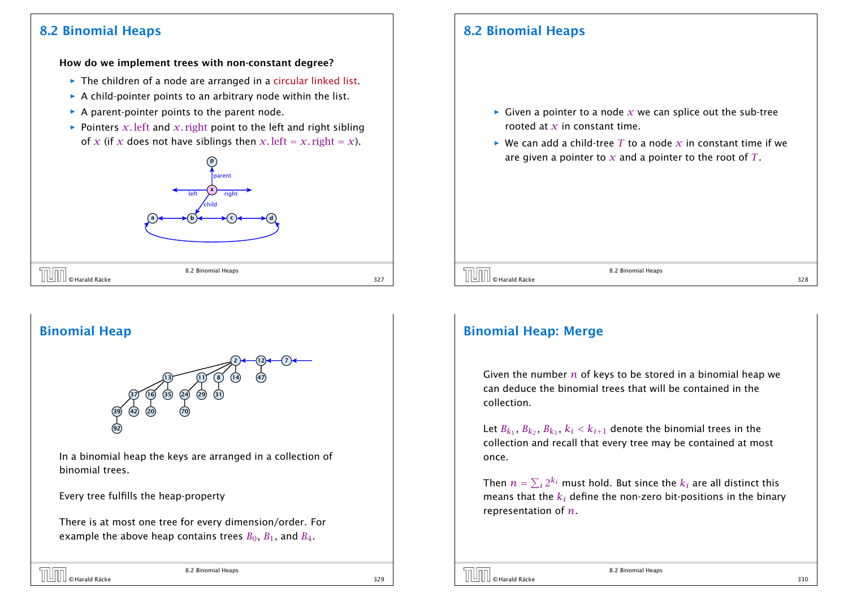## 8.2 Binomial Heaps

## 8.2 Binomial Heaps

#### How do we implement trees with non-constant degree?

- **▶ The children of a node are arranged in a circular linked list.**
- **▶ A child-pointer points to an arbitrary node within the list.**
- ▶ A parent-pointer points to the parent node.
- $\rightarrow$  Pointers *x*. left and *x*. right point to the left and right sibling of *x* (if *x* does not have siblings then *x*. left = *x*. right = *x*).



- $\triangleright$  Given a pointer to a node  $x$  we can splice out the sub-tree rooted at *x* in constant time.
- $\blacktriangleright$  We can add a child-tree *T* to a node *x* in constant time if we are given a pointer to *x* and a pointer to the root of *T*.

 $\overline{S}$  8.2 Binomial Heaps<br>328<br>328<br>328

8.2 Binomial Heaps

## Binomial Heap



In a binomial heap the keys are arranged in a collection of binomial trees.

Every tree fulfills the heap-property

There is at most one tree for every dimension/order. For example the above heap contains trees  $B_0$ ,  $B_1$ , and  $B_4$ .

## © Harald Räcke 329

## Binomial Heap: Merge

Given the number *n* of keys to be stored in a binomial heap we can deduce the binomial trees that will be contained in the collection.

Let  $B_{k_1}$ ,  $B_{k_2}$ ,  $B_{k_3}$ ,  $k_i < k_{i+1}$  denote the binomial trees in the collection and recall that every tree may be contained at most once.

Then  $n=\sum_i 2^{k_i}$  must hold. But since the  $k_i$  are all distinct this means that the *k<sup>i</sup>* define the non-zero bit-positions in the binary representation of *n*.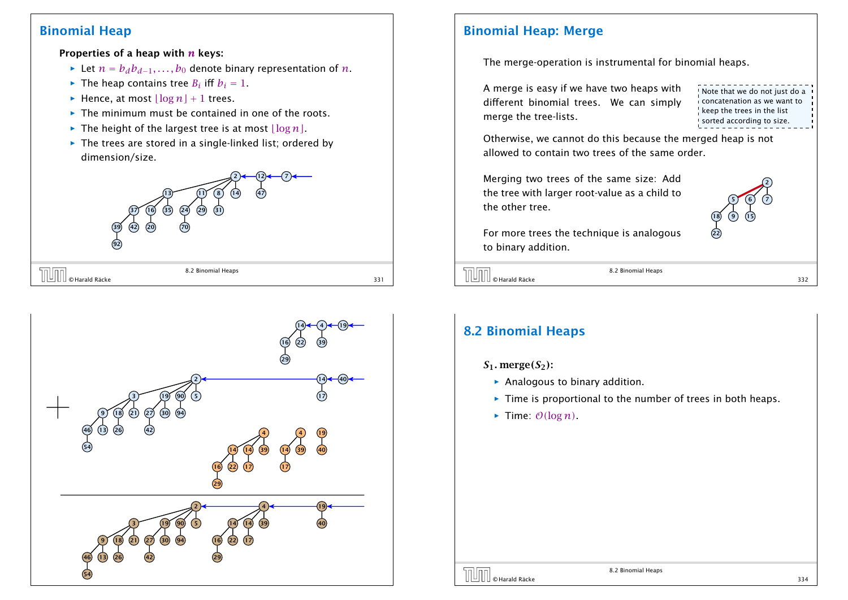#### Binomial Heap

#### Properties of a heap with *n* keys:

- *►* Let  $n = b_d b_{d-1}, \ldots, b_0$  denote binary representation of *n*.
- $\blacktriangleright$  The heap contains tree *B*<sup>*i*</sup> iff *b*<sup>*i*</sup> = 1.
- $\blacktriangleright$  Hence, at most  $\lfloor \log n \rfloor + 1$  trees.
- **►** The minimum must be contained in one of the roots.
- $\blacktriangleright$  The height of the largest tree is at most  $\lfloor \log n \rfloor$ .
- ▶ The trees are stored in a single-linked list; ordered by dimension/size.

#### $(12)$   $\leftarrow$   $(7)$  8) (14 24) (29 16) (35 42 8.2 Binomial Heaps

| l © Harald Räcke<br>. ت<br>Ш<br>ш<br>. |  |
|----------------------------------------|--|
|                                        |  |

5n lnn



#### Binomial Heap: Merge

The merge-operation is instrumental for binomial heaps.

A merge is easy if we have two heaps with different binomial trees. We can simply merge the tree-lists.

Note that we do not just do a concatenation as we want to keep the trees in the list sorted according to size.

Otherwise, we cannot do this because the merged heap is not allowed to contain two trees of the same order.

Merging two trees of the same size: Add the tree with larger root-value as a child to the other tree.



For more trees the technique is analogous to binary addition.

 $\overline{332}$   $\overline{332}$   $\overline{332}$   $\overline{332}$   $\overline{332}$ 

8.2 Binomial Heaps

## 8.2 Binomial Heaps

#### $S_1$ *.* merge $(S_2)$ :

- $\triangleright$  Analogous to binary addition.
- **Fime is proportional to the number of trees in both heaps.**
- $\blacktriangleright$  Time:  $\mathcal{O}(\log n)$ .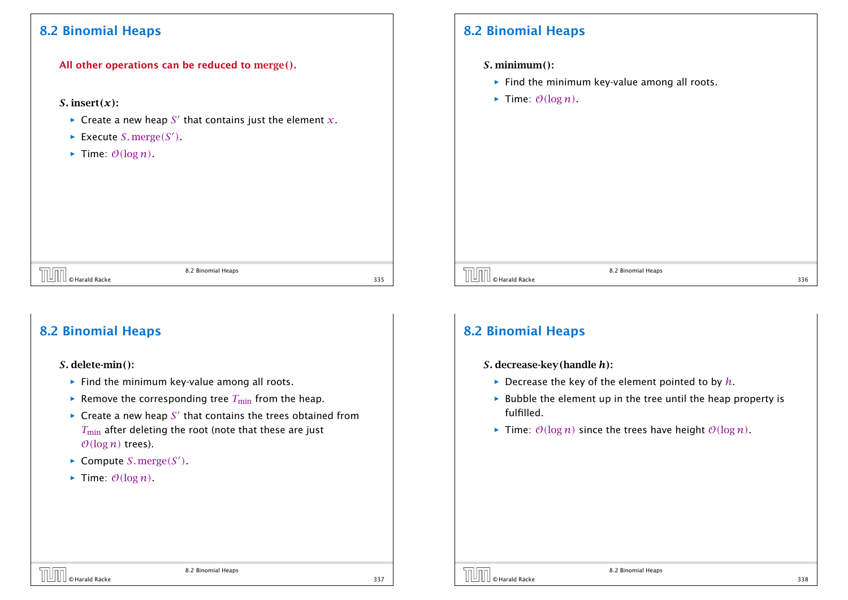#### 8.2 Binomial Heaps

All other operations can be reduced to merge*()*.

#### *S.* insert $(x)$ :

- $\blacktriangleright$  Create a new heap  $S'$  that contains just the element  $x.$
- $\blacktriangleright$  Execute *S*. merge*(S')*.
- $\blacktriangleright$  Time:  $\mathcal{O}(\log n)$ .

## 8.2 Binomial Heaps

*S.* minimum*()*:

- **Find the minimum key-value among all roots.**
- $\blacktriangleright$  Time:  $\mathcal{O}(\log n)$ .

8.2 Binomial Heaps

## 8.2 Binomial Heaps

*S.* delete-min*()*:

- **Find the minimum key-value among all roots.**
- $\blacktriangleright$  Remove the corresponding tree  $T_{\text{min}}$  from the heap.
- $\blacktriangleright$  Create a new heap  $S'$  that contains the trees obtained from *T*<sub>min</sub> after deleting the root (note that these are just  $O(log n)$  trees).
- $\blacktriangleright$  Compute *S*. merge*(S')*.
- $\blacktriangleright$  Time:  $O(log n)$ .

## 8.2 Binomial Heaps

- *S.* decrease-key*(*handle *h)*:
	- $\blacktriangleright$  Decrease the key of the element pointed to by  $h$ .
	- $\triangleright$  Bubble the element up in the tree until the heap property is fulfilled.

8.2 Binomial Heaps  $\overline{0}$   $\overline{0}$   $\overline{0}$   $\overline{0}$   $\overline{0}$   $\overline{0}$   $\overline{0}$   $\overline{0}$   $\overline{0}$   $\overline{0}$   $\overline{0}$   $\overline{0}$   $\overline{0}$   $\overline{0}$   $\overline{0}$   $\overline{0}$   $\overline{0}$   $\overline{0}$   $\overline{0}$   $\overline{0}$   $\overline{0}$   $\overline{0}$   $\overline{0}$   $\overline{0}$   $\overline{$ 

 $\triangleright$  Time:  $O(log n)$  since the trees have height  $O(log n)$ .

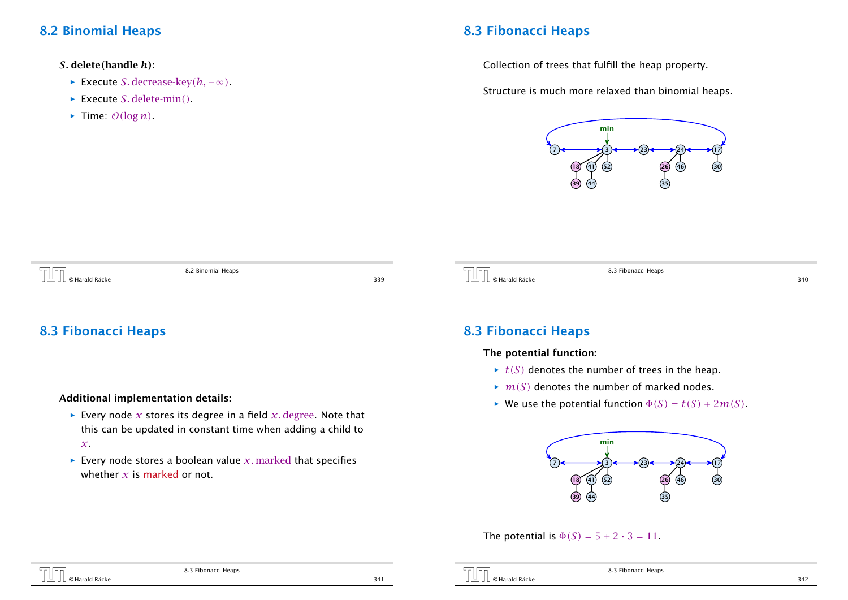## 8.2 Binomial Heaps

*S.* delete*(*handle *h)*:

- *<sup>ñ</sup>* Execute *S.* decrease-key*(h,* −∞*)*.
- *ñ* Execute *S.* delete-min*()*.
- $\blacktriangleright$  Time:  $\mathcal{O}(\log n)$ .

## 8.3 Fibonacci Heaps

Collection of trees that fulfill the heap property.

Structure is much more relaxed than binomial heaps.



|  | × |
|--|---|

8.3 Fibonacci Heaps

## 8.3 Fibonacci Heaps

#### Additional implementation details:

**Figure 2** Every node *x* stores its degree in a field *x*, degree. Note that this can be updated in constant time when adding a child to *x*.

8.2 Binomial Heaps  $\begin{array}{|c|c|}\n\hline\n\text{O} & \text{Hardd} & \text{Räcke}\n\hline\n\end{array}$ 

 $\blacktriangleright$  Every node stores a boolean value *x*. marked that specifies whether *x* is marked or not.

#### 8.3 Fibonacci Heaps

#### The potential function:

- $\rightarrow$  *t(S)* denotes the number of trees in the heap.
- $\blacktriangleright$   $m(S)$  denotes the number of marked nodes.
- We use the potential function  $\Phi(S) = t(S) + 2m(S)$ .



#### The potential is  $\Phi(S) = 5 + 2 \cdot 3 = 11$ .

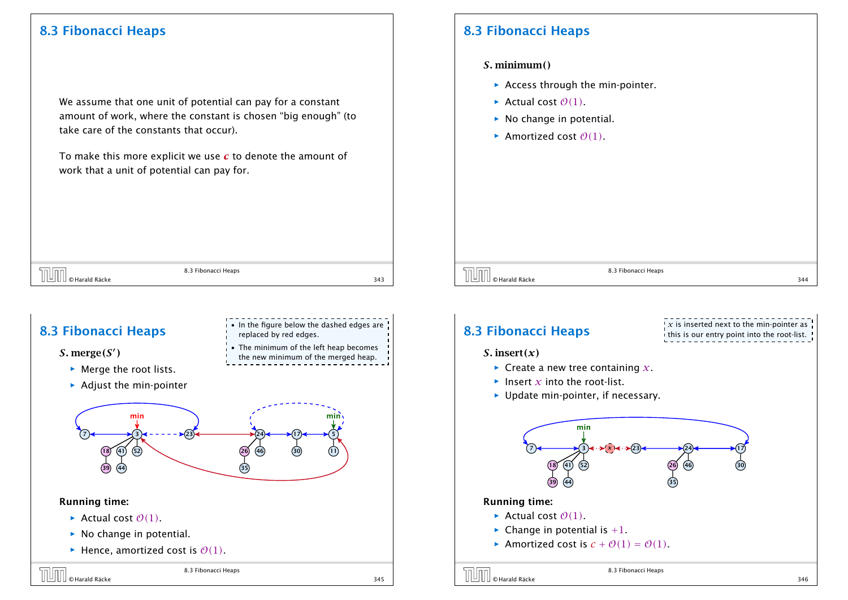We assume that one unit of potential can pay for a constant amount of work, where the constant is chosen "big enough" (to take care of the constants that occur).

To make this more explicit we use *c* to denote the amount of work that a unit of potential can pay for.

### 8.3 Fibonacci Heaps

#### *S.* minimum*()*

- ▶ Access through the min-pointer.
- $\blacktriangleright$  Actual cost  $\mathcal{O}(1)$ .
- $\triangleright$  No change in potential.
- $\blacktriangleright$  Amortized cost  $\mathcal{O}(1)$ .



• In the figure below the dashed edges are

• The minimum of the left heap becomes the new minimum of the merged heap.

replaced by red edges.

## 8.3 Fibonacci Heaps



- **Merge the root lists.**
- **Adjust the min-pointer**



#### Running time:

- $\blacktriangleright$  Actual cost  $\mathcal{O}(1)$ .
- ▶ No change in potential.
- $\blacktriangleright$  Hence, amortized cost is  $\mathcal{O}(1)$ .

| <b>THE CHATAIR RACKE</b> | 8.3 Fibonacci Heaps |     |
|--------------------------|---------------------|-----|
|                          |                     | 345 |

8.3 Fibonacci Heaps



8.3 Fibonacci Heaps  $\overline{\text{O}}$   $\overline{\text{O}}$   $\text{H}$   $\text{C}$   $\text{H}$   $\text{C}$   $\text{H}$   $\text{C}$   $\text{H}$   $\text{C}$   $\text{H}$   $\text{C}$   $\text{H}$   $\text{C}$   $\text{H}$   $\text{C}$   $\text{H}$   $\text{C}$   $\text{H}$   $\text{C}$   $\text{H}$   $\text{C}$   $\text{H}$   $\text{H}$   $\text{H}$   $\text{H}$   $\text{H}$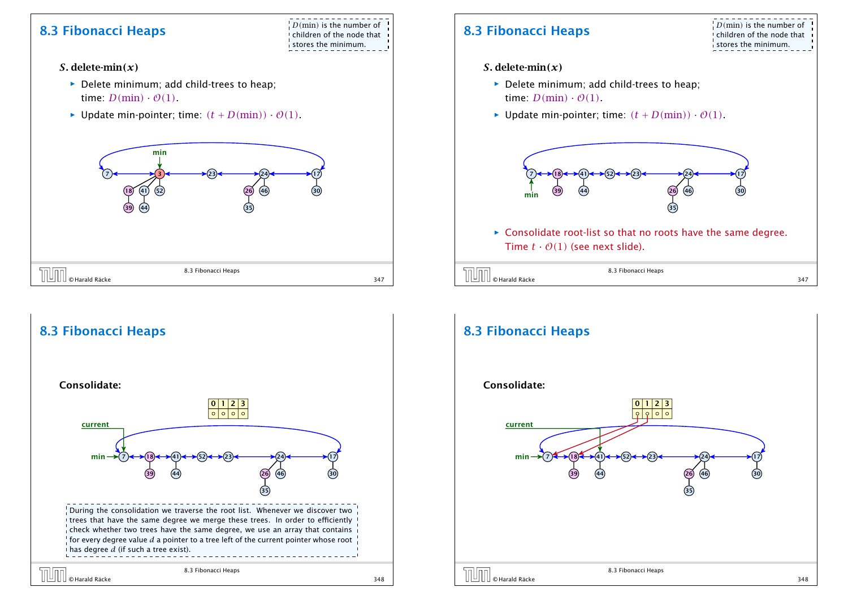## **8.3 Fibonacci Heaps**  $\frac{1}{2}D(\text{min})$  is the number of

children of the node that stores the minimum.

- *S.* delete-min*(x)*
	- ▶ Delete minimum; add child-trees to heap; time:  $D(\text{min}) \cdot \mathcal{O}(1)$ .
	- $\blacktriangleright$  Update min-pointer; time:  $(t + D(\text{min})) \cdot \mathcal{O}(1)$ .



#### 8.3 Fibonacci Heaps During the consolidation we traverse the root list. Whenever we discover two I trees that have the same degree we merge these trees. In order to efficiently !  $\frac{1}{2}$ check whether two trees have the same degree, we use an array that contains  $\frac{1}{2}$  for every degree value  $d$  a pointer to a tree left of the current pointer whose root Consolidate: 7 24 26) (46 35  $(23)$   $\longleftrightarrow$   $(24)$   $\longleftrightarrow$   $(17)$ 18 39 41 44 52 min  $\begin{array}{|c|c|c|c|c|}\n\hline\n0 & 1 & 2 & 3 \\
\hline\n\circ & \circ & \circ & \circ\n\end{array}$  $(7) \leftrightarrow (18) \leftrightarrow (41) \leftrightarrow (52)$ current

# © Harald Räcke 348

has degree *d* (if such a tree exist).

8.3 Fibonacci Heaps

## **8.3 Fibonacci Heaps Department of the number of the node that**

children of the node that stores the minimum.

- *S.* delete-min*(x)*
	- ▶ Delete minimum; add child-trees to heap; time:  $D(\text{min}) \cdot \mathcal{O}(1)$ .
	- $\blacktriangleright$  Update min-pointer; time:  $(t + D(\text{min})) \cdot \mathcal{O}(1)$ .



**►** Consolidate root-list so that no roots have the same degree. Time  $t \cdot \mathcal{O}(1)$  (see next slide).

| L                        | 8.3 Fibonacci Heaps |  |
|--------------------------|---------------------|--|
| <b>Harald Räcke</b><br>œ |                     |  |

## 8.3 Fibonacci Heaps



30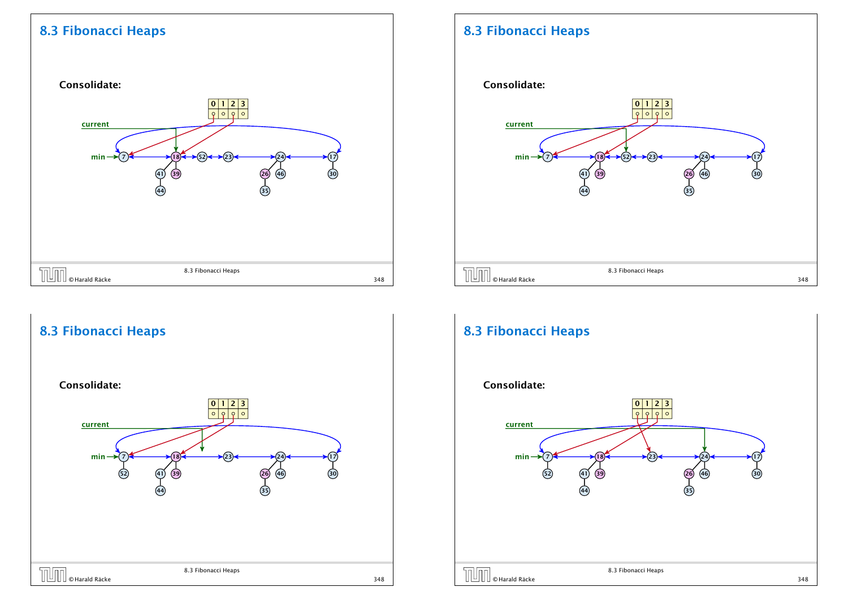

## 8.3 Fibonacci Heaps



## 8.3 Fibonacci Heaps

8.3 Fibonacci Heaps

#### Consolidate:



#### Consolidate: 7 52 24 26 46 35  $(23)$   $\longleftrightarrow$   $(24)$   $\longleftrightarrow$   $(17)$  $(30)$ 18 41) (39 44  $min \rightarrow$  $0 1 2 3$  $7 \times 18 \times 123 \times 124$ current 8.3 Fibonacci Heaps EN UNIX STATES AND RESERVE ASSAULT AND RESERVE AND RESERVE AND RESERVE AND RESERVE AND RESERVE AND STATES STAR<br>
348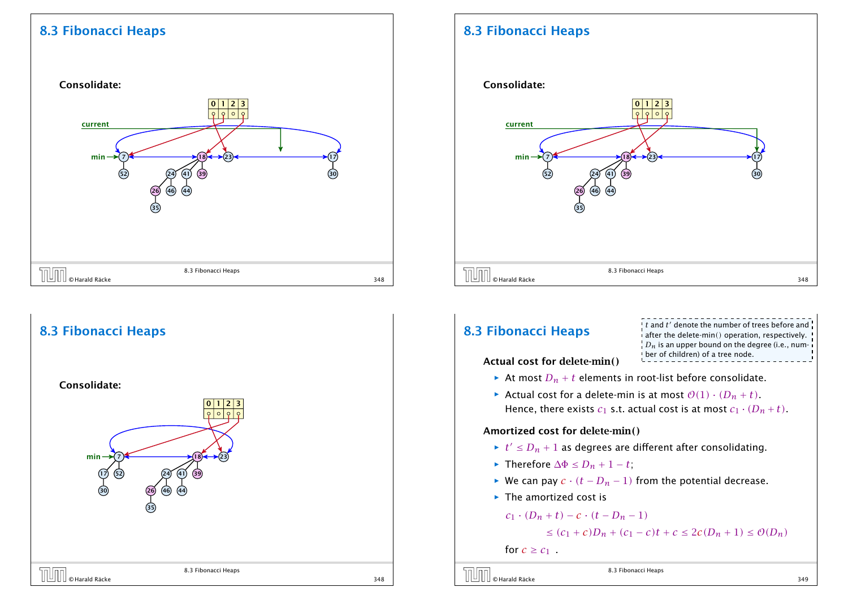



## 8.3 Fibonacci Heaps

#### Consolidate:



## **8.3 Fibonacci Heaps**

 $\pm t$  and  $t'$  denote the number of trees before and after the delete-min*()* operation, respectively.  $\left\{D_n\right\}$  is an upper bound on the degree (i.e., number of children) of a tree node.

Actual cost for delete-min*()*

- At most  $D_n + t$  elements in root-list before consolidate.
- Actual cost for a delete-min is at most  $O(1) \cdot (D_n + t)$ . Hence, there exists  $c_1$  s.t. actual cost is at most  $c_1 \cdot (D_n + t)$ .

#### Amortized cost for delete-min*()*

- $\blacktriangleright$   $t' \leq D_n + 1$  as degrees are different after consolidating.
- *►* Therefore  $\Delta \Phi \le D_n + 1 t$ ;
- *►* We can pay  $c \cdot (t D_n 1)$  from the potential decrease.
- **Fig. 2** The amortized cost is

 $c_1 \cdot (D_n + t) - c \cdot (t - D_n - 1)$ 

$$
\leq
$$
  $(c_1 + c)D_n + (c_1 - c)t + c \leq 2c(D_n + 1) \leq \mathcal{O}(D_n)$ 

for  $c \geq c_1$ .



8.3 Fibonacci Heaps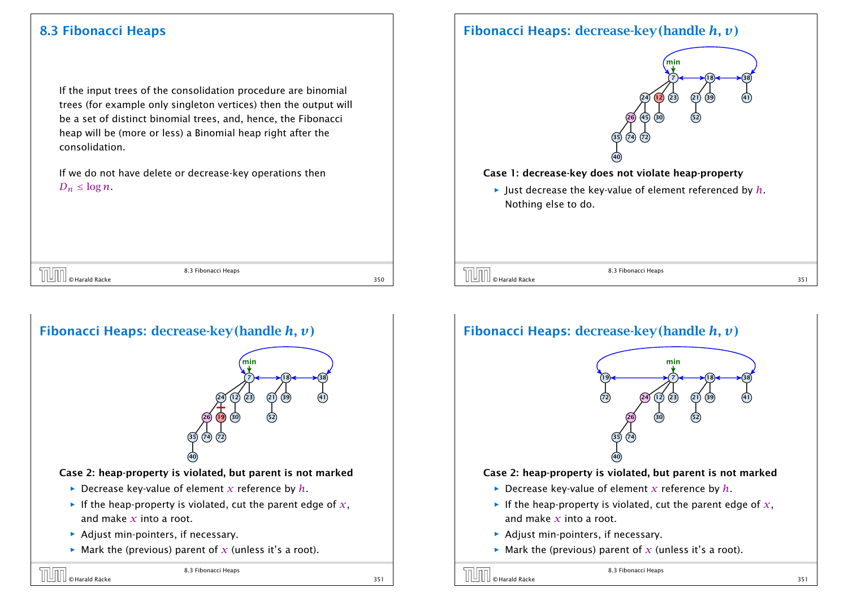If the input trees of the consolidation procedure are binomial trees (for example only singleton vertices) then the output will be a set of distinct binomial trees, and, hence, the Fibonacci heap will be (more or less) a Binomial heap right after the consolidation.

If we do not have delete or decrease-key operations then  $D_n \leq \log n$ .

|                     | 8.3 Fibonacci Heaps |      |
|---------------------|---------------------|------|
| © Harald Räcke<br>╺ |                     | $-2$ |



## Fibonacci Heaps: decrease-key*(*handle *h, v)*



#### Case 1: decrease-key does not violate heap-property

*ñ* Just decrease the key-value of element referenced by *h*. Nothing else to do.

 $\overline{S}$   $\overline{S}$   $\overline{S}$   $\overline{S}$   $\overline{S}$   $\overline{S}$   $\overline{S}$   $\overline{S}$   $\overline{S}$   $\overline{S}$   $\overline{S}$   $\overline{S}$   $\overline{S}$   $\overline{S}$   $\overline{S}$   $\overline{S}$   $\overline{S}$   $\overline{S}$   $\overline{S}$   $\overline{S}$   $\overline{S}$   $\overline{S}$   $\overline{S}$   $\overline{S}$   $\overline{$ 

8.3 Fibonacci Heaps

## Fibonacci Heaps: decrease-key*(*handle *h, v)*



#### Case 2: heap-property is violated, but parent is not marked

- $\triangleright$  Decrease key-value of element *x* reference by *h*.
- $\blacktriangleright$  If the heap-property is violated, cut the parent edge of  $x$ , and make *x* into a root.
- **Adjust min-pointers, if necessary.**
- $\blacktriangleright$  Mark the (previous) parent of *x* (unless it's a root).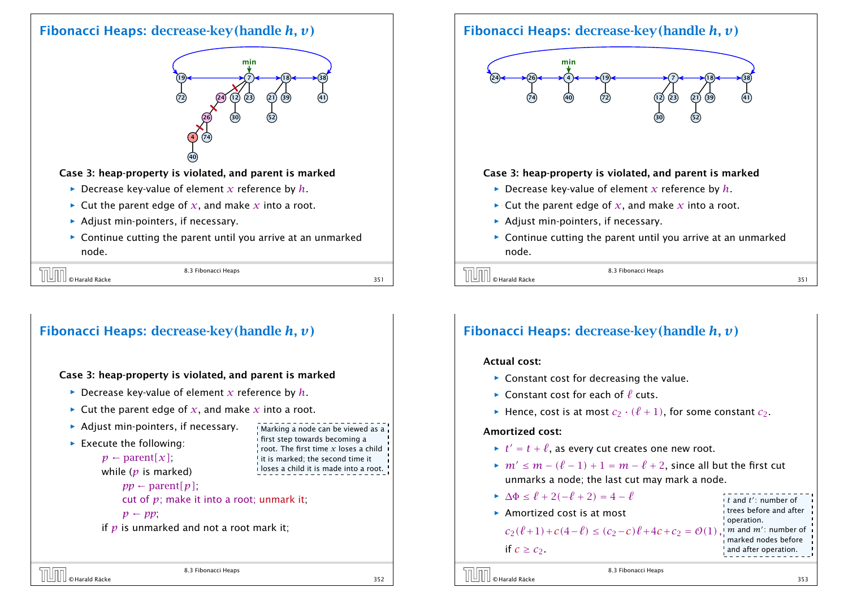#### Fibonacci Heaps: decrease-key*(*handle *h, v)*



#### Case 3: heap-property is violated, and parent is marked

- $\triangleright$  Decrease key-value of element *x* reference by *h*.
- $\blacktriangleright$  Cut the parent edge of *x*, and make *x* into a root.
- **Adjust min-pointers, if necessary.**
- **►** Continue cutting the parent until you arrive at an unmarked node.

| └ ─                    | 8.3 Fibonacci Heaps |  |
|------------------------|---------------------|--|
| II © Harald Räcke<br>╺ |                     |  |

#### Fibonacci Heaps: decrease-key*(*handle *h, v)*

#### Case 3: heap-property is violated, and parent is marked

- $\triangleright$  Decrease key-value of element *x* reference by *h*.
- $\blacktriangleright$  Cut the parent edge of *x*, and make *x* into a root.
- **Adjust min-pointers, if necessary.**
- **FICALLE EXECUTE THE FOLLOWING:** 
	- $p \leftarrow$  parent $[x]$ ;

```
while (p is marked)
```
 $pp \leftarrow$  parent $[p]$ ;

cut of *p*; make it into a root; unmark it;

8.3 Fibonacci Heaps

 $p \leftarrow pp$ 

if *p* is unmarked and not a root mark it;

Fibonacci Heaps: decrease-key*(*handle *h, v)*



#### Case 3: heap-property is violated, and parent is marked

- $\triangleright$  Decrease key-value of element *x* reference by *h*.
- $\blacktriangleright$  Cut the parent edge of *x*, and make *x* into a root.
- **Adjust min-pointers, if necessary.**
- ▶ Continue cutting the parent until you arrive at an unmarked node.

 $\overline{S}$  B.3 Fibonacci Heaps<br>  $\overline{S}$  Harald Räcke 351

8.3 Fibonacci Heaps

#### Fibonacci Heaps: decrease-key*(*handle *h, v)*

#### Actual cost:

- ▶ Constant cost for decreasing the value.
- $\blacktriangleright$  Constant cost for each of  $\ell$  cuts.
- $\blacktriangleright$  Hence, cost is at most  $c_2 \cdot (\ell + 1)$ , for some constant  $c_2$ .

#### Amortized cost:

- $\blacktriangleright$   $t' = t + \ell$ , as every cut creates one new root.
- $\mathbb{R}$  *m'* ≤ *m* − ( $\ell$  − 1) + 1 = *m* −  $\ell$  + 2, since all but the first cut unmarks a node; the last cut may mark a node.

8.3 Fibonacci Heaps

- $\Delta \Phi \leq \ell + 2(-\ell + 2) = 4 \ell$
- ▶ Amortized cost is at most

#### $c_2(\ell+1) + c(4-\ell) \le (c_2 - c)\ell + 4c + c_2 = \mathcal{O}(1)$

trees before and after operation.  $m$  and  $m'$ : number of marked nodes before and after operation.

*t* and *t* 0 : number of

order and the set of the set of the set of the set of the set of the set of the set of the set of the set of the set of the set of the set of the set of the set of the set of the set of the set of the set of the set of th

Marking a node can be viewed as a first step towards becoming a root. The first time *x* loses a child <sup>1</sup> it is marked; the second time it loses a child it is made into a root.

© Harald Räcke 353

if  $c \geq c_2$ .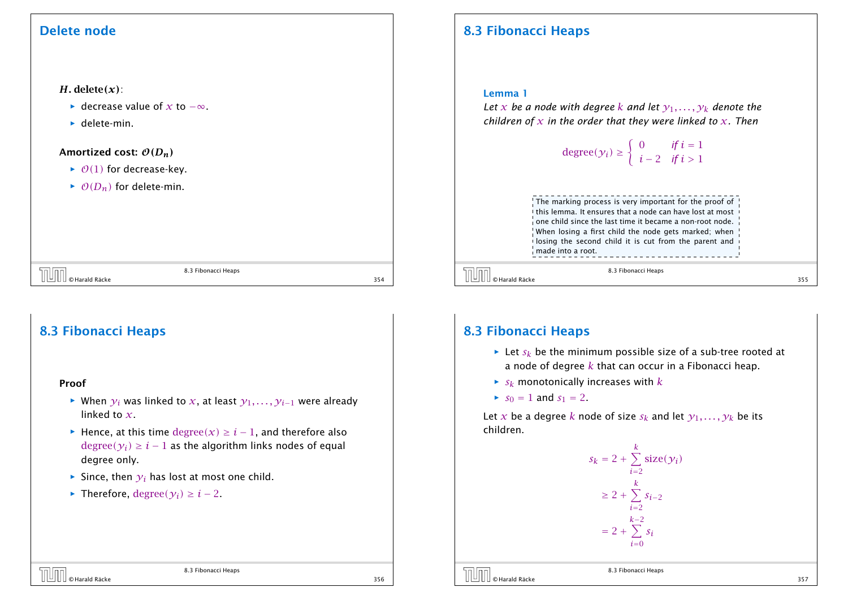#### Delete node

#### *H.* delete*(x)*:

- *►* decrease value of *x* to  $-\infty$ .
- $\blacktriangleright$  delete-min.

#### Amortized cost: O*(Dn)*

- $\rightarrow$  O(1) for decrease-key.
- $\rightarrow$   $\mathcal{O}(D_n)$  for delete-min.

|                      | 8.3 Fibonacci Heaps |     |
|----------------------|---------------------|-----|
| © Harald Räcke<br>-- |                     | 354 |

## 8.3 Fibonacci Heaps

#### Proof

- *►* When  $y_i$  was linked to *x*, at least  $y_1, \ldots, y_{i-1}$  were already linked to *x*.
- *►* Hence, at this time  $degree(x) \ge i 1$ , and therefore also  $degree(\gamma_i) \geq i-1$  as the algorithm links nodes of equal degree only.

8.3 Fibonacci Heaps

- $\blacktriangleright$  Since, then  $\gamma_i$  has lost at most one child.
- *►* Therefore, degree $(\gamma_i) \geq i 2$ .

## 8.3 Fibonacci Heaps

#### Lemma 1

*Let x be a node* with degree *k* and let  $y_1, \ldots, y_k$  denote the *children of x in the order that they were linked to x. Then*

degree(
$$
y_i
$$
)  $\ge \begin{cases} 0 & \text{if } i = 1 \\ i - 2 & \text{if } i > 1 \end{cases}$ 



 $\overline{\text{O}}$   $\overline{\text{O}}$   $\text{H}$   $\text{B}$   $\text{B}$   $\text{B}$   $\text{B}$   $\text{B}$   $\text{B}$   $\text{B}$   $\text{B}$   $\text{B}$   $\text{B}$   $\text{B}$   $\text{B}$   $\text{B}$   $\text{B}$   $\text{B}$   $\text{B}$   $\text{B}$   $\text{B}$   $\text{B}$   $\text{B}$   $\text{B}$   $\text{B}$   $\text{B}$   $\text{B}$ 

8.3 Fibonacci Heaps

#### 8.3 Fibonacci Heaps

- $\blacktriangleright$  Let  $s_k$  be the minimum possible size of a sub-tree rooted at a node of degree *k* that can occur in a Fibonacci heap.
- $\blacktriangleright$  *s*<sub>*k*</sub> monotonically increases with *k*
- $s_0 = 1$  and  $s_1 = 2$ .

Let *x* be a degree *k* node of size  $s_k$  and let  $\gamma_1, \ldots, \gamma_k$  be its children.





8.3 Fibonacci Heaps

 $\begin{array}{|c|c|c|}\hline \text{||} \text{||} \text{ } \text{} \text{H} \text{ and } \text{Räcke} \end{array}$  356  $\begin{array}{|c|c|c|}\hline \text{356} \end{array}$